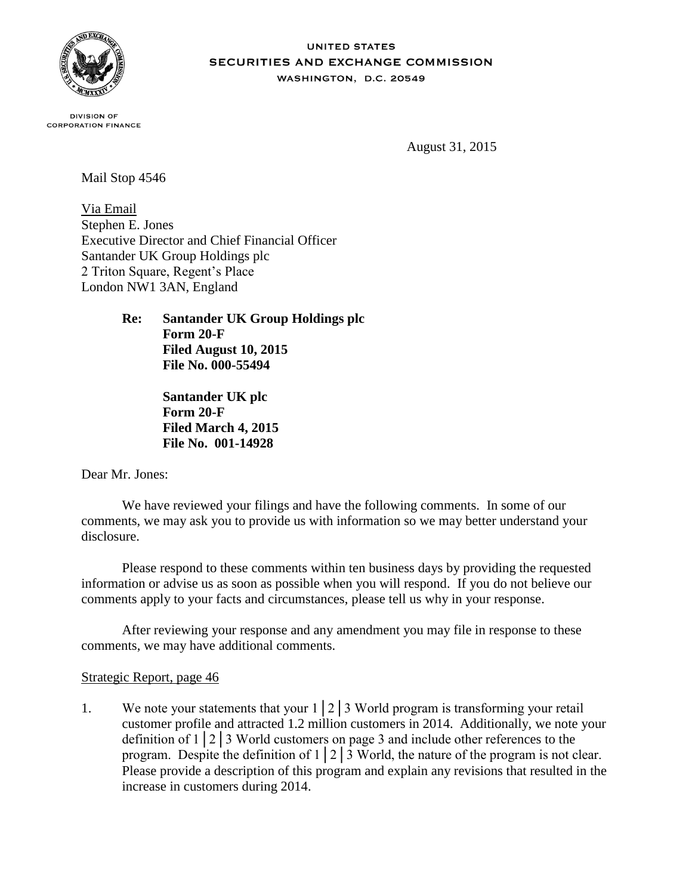

### **UNITED STATES SECURITIES AND EXCHANGE COMMISSION** WASHINGTON, D.C. 20549

**DIVISION OF CORPORATION FINANCE** 

August 31, 2015

Mail Stop 4546

Via Email Stephen E. Jones Executive Director and Chief Financial Officer Santander UK Group Holdings plc 2 Triton Square, Regent's Place London NW1 3AN, England

> **Re: Santander UK Group Holdings plc Form 20-F Filed August 10, 2015 File No. 000-55494**

> > **Santander UK plc Form 20-F Filed March 4, 2015 File No. 001-14928**

Dear Mr. Jones:

We have reviewed your filings and have the following comments. In some of our comments, we may ask you to provide us with information so we may better understand your disclosure.

Please respond to these comments within ten business days by providing the requested information or advise us as soon as possible when you will respond. If you do not believe our comments apply to your facts and circumstances, please tell us why in your response.

After reviewing your response and any amendment you may file in response to these comments, we may have additional comments.

# Strategic Report, page 46

1. We note your statements that your 1│2│3 World program is transforming your retail customer profile and attracted 1.2 million customers in 2014. Additionally, we note your definition of 1│2│3 World customers on page 3 and include other references to the program. Despite the definition of  $1 \mid 2 \mid 3$  World, the nature of the program is not clear. Please provide a description of this program and explain any revisions that resulted in the increase in customers during 2014.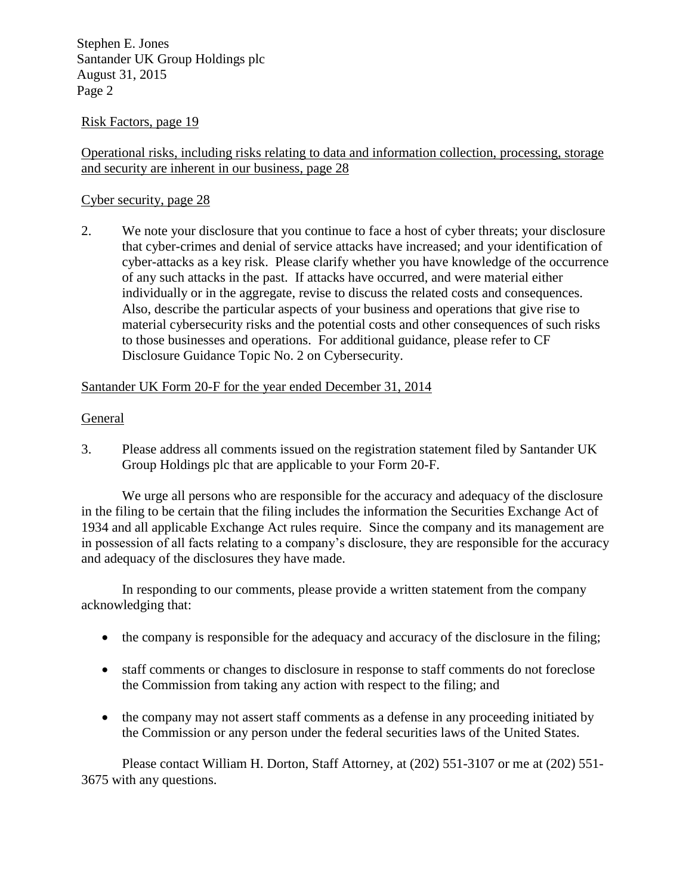Stephen E. Jones Santander UK Group Holdings plc August 31, 2015 Page 2

# Risk Factors, page 19

Operational risks, including risks relating to data and information collection, processing, storage and security are inherent in our business, page 28

## Cyber security, page 28

2. We note your disclosure that you continue to face a host of cyber threats; your disclosure that cyber-crimes and denial of service attacks have increased; and your identification of cyber-attacks as a key risk. Please clarify whether you have knowledge of the occurrence of any such attacks in the past. If attacks have occurred, and were material either individually or in the aggregate, revise to discuss the related costs and consequences. Also, describe the particular aspects of your business and operations that give rise to material cybersecurity risks and the potential costs and other consequences of such risks to those businesses and operations. For additional guidance, please refer to CF Disclosure Guidance Topic No. 2 on Cybersecurity.

# Santander UK Form 20-F for the year ended December 31, 2014

## General

3. Please address all comments issued on the registration statement filed by Santander UK Group Holdings plc that are applicable to your Form 20-F.

We urge all persons who are responsible for the accuracy and adequacy of the disclosure in the filing to be certain that the filing includes the information the Securities Exchange Act of 1934 and all applicable Exchange Act rules require. Since the company and its management are in possession of all facts relating to a company's disclosure, they are responsible for the accuracy and adequacy of the disclosures they have made.

In responding to our comments, please provide a written statement from the company acknowledging that:

- the company is responsible for the adequacy and accuracy of the disclosure in the filing;
- staff comments or changes to disclosure in response to staff comments do not foreclose the Commission from taking any action with respect to the filing; and
- the company may not assert staff comments as a defense in any proceeding initiated by the Commission or any person under the federal securities laws of the United States.

Please contact William H. Dorton, Staff Attorney, at (202) 551-3107 or me at (202) 551- 3675 with any questions.